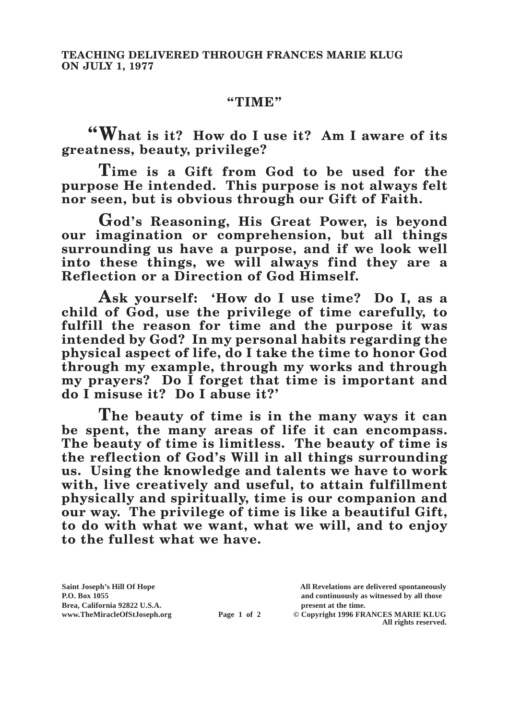## **"TIME"**

**"What is it? How do I use it? Am I aware of its greatness, beauty, privilege?**

**Time is a Gift from God to be used for the purpose He intended. This purpose is not always felt nor seen, but is obvious through our Gift of Faith.**

**God's Reasoning, His Great Power, is beyond our imagination or comprehension, but all things surrounding us have a purpose, and if we look well into these things, we will always find they are a Reflection or a Direction of God Himself.**

**Ask yourself: 'How do I use time? Do I, as a child of God, use the privilege of time carefully, to fulfill the reason for time and the purpose it was intended by God? In my personal habits regarding the physical aspect of life, do I take the time to honor God through my example, through my works and through my prayers? Do I forget that time is important and do I misuse it? Do I abuse it?'**

**The beauty of time is in the many ways it can be spent, the many areas of life it can encompass. The beauty of time is limitless. The beauty of time is the reflection of God's Will in all things surrounding us. Using the knowledge and talents we have to work with, live creatively and useful, to attain fulfillment physically and spiritually, time is our companion and our way. The privilege of time is like a beautiful Gift, to do with what we want, what we will, and to enjoy to the fullest what we have.**

**Brea, California 92822 U.S.A. present at the time.**<br> **present at the time.**<br> **present at the time.**<br> **present at the time.**<br> **present at the time.**<br> **present at the time.** 

**Saint Joseph's Hill Of Hope All Revelations are delivered spontaneously P.O. Box 1055 and continuously as witnessed by all those** 

**Page 1 of 2** © Copyright 1996 FRANCES MARIE KLUG **All rights reserved.**